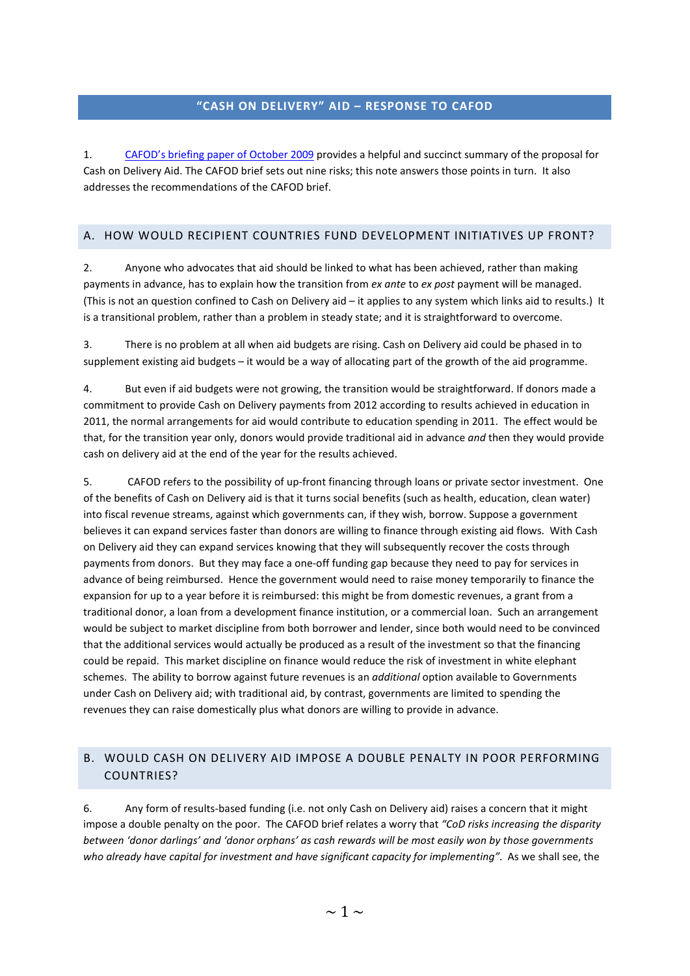## **"CASH ON DELIVERY" AID – RESPONSE TO CAFOD**

1. [CAFOD's briefing paper of October 2009](http://www.cafod.org.uk/policy-campaigns/governance/panels/resources-to-download/cash-on-delivery-aid-a-cafod-briefing) provides a helpful and succinct summary of the proposal for Cash on Delivery Aid. The CAFOD brief sets out nine risks; this note answers those points in turn. It also addresses the recommendations of the CAFOD brief.

## A. HOW WOULD RECIPIENT COUNTRIES FUND DEVELOPMENT INITIATIVES UP FRONT?

2. Anyone who advocates that aid should be linked to what has been achieved, rather than making payments in advance, has to explain how the transition from *ex ante* to *ex post* payment will be managed. (This is not an question confined to Cash on Delivery aid – it applies to any system which links aid to results.) It is a transitional problem, rather than a problem in steady state; and it is straightforward to overcome.

3. There is no problem at all when aid budgets are rising. Cash on Delivery aid could be phased in to supplement existing aid budgets – it would be a way of allocating part of the growth of the aid programme.

4. But even if aid budgets were not growing, the transition would be straightforward. If donors made a commitment to provide Cash on Delivery payments from 2012 according to results achieved in education in 2011, the normal arrangements for aid would contribute to education spending in 2011. The effect would be that, for the transition year only, donors would provide traditional aid in advance *and* then they would provide cash on delivery aid at the end of the year for the results achieved.

5. CAFOD refers to the possibility of up-front financing through loans or private sector investment. One of the benefits of Cash on Delivery aid is that it turns social benefits (such as health, education, clean water) into fiscal revenue streams, against which governments can, if they wish, borrow. Suppose a government believes it can expand services faster than donors are willing to finance through existing aid flows. With Cash on Delivery aid they can expand services knowing that they will subsequently recover the costs through payments from donors. But they may face a one-off funding gap because they need to pay for services in advance of being reimbursed. Hence the government would need to raise money temporarily to finance the expansion for up to a year before it is reimbursed: this might be from domestic revenues, a grant from a traditional donor, a loan from a development finance institution, or a commercial loan. Such an arrangement would be subject to market discipline from both borrower and lender, since both would need to be convinced that the additional services would actually be produced as a result of the investment so that the financing could be repaid. This market discipline on finance would reduce the risk of investment in white elephant schemes. The ability to borrow against future revenues is an *additional* option available to Governments under Cash on Delivery aid; with traditional aid, by contrast, governments are limited to spending the revenues they can raise domestically plus what donors are willing to provide in advance.

# B. WOULD CASH ON DELIVERY AID IMPOSE A DOUBLE PENALTY IN POOR PERFORMING COUNTRIES?

6. Any form of results-based funding (i.e. not only Cash on Delivery aid) raises a concern that it might impose a double penalty on the poor. The CAFOD brief relates a worry that *"CoD risks increasing the disparity between 'donor darlings' and 'donor orphans' as cash rewards will be most easily won by those governments who already have capital for investment and have significant capacity for implementing"*. As we shall see, the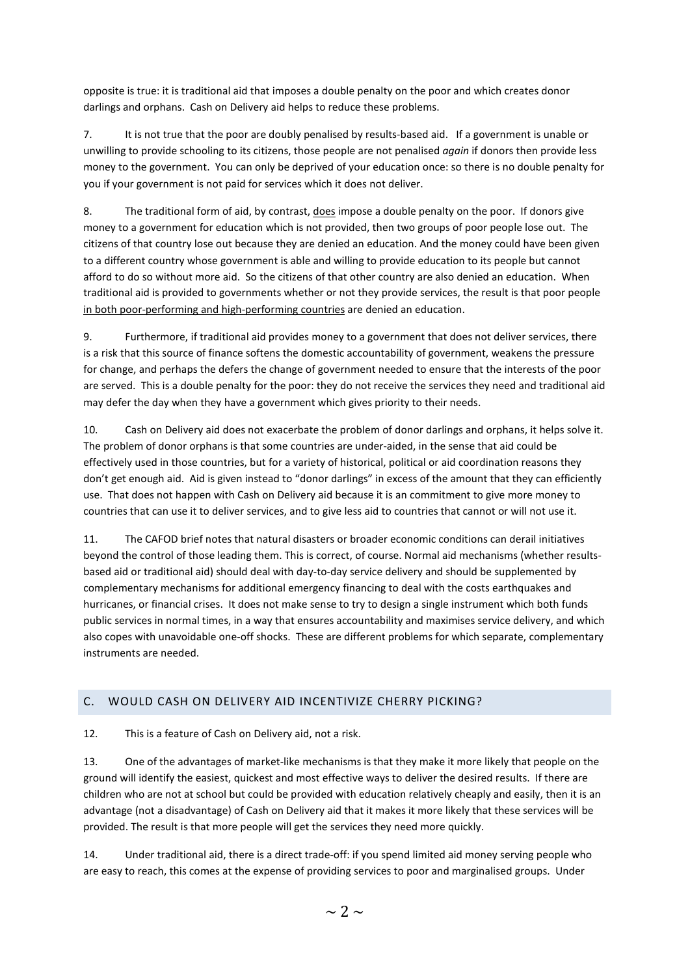opposite is true: it is traditional aid that imposes a double penalty on the poor and which creates donor darlings and orphans. Cash on Delivery aid helps to reduce these problems.

7. It is not true that the poor are doubly penalised by results-based aid. If a government is unable or unwilling to provide schooling to its citizens, those people are not penalised *again* if donors then provide less money to the government. You can only be deprived of your education once: so there is no double penalty for you if your government is not paid for services which it does not deliver.

8. The traditional form of aid, by contrast, does impose a double penalty on the poor. If donors give money to a government for education which is not provided, then two groups of poor people lose out. The citizens of that country lose out because they are denied an education. And the money could have been given to a different country whose government is able and willing to provide education to its people but cannot afford to do so without more aid. So the citizens of that other country are also denied an education. When traditional aid is provided to governments whether or not they provide services, the result is that poor people in both poor-performing and high-performing countries are denied an education.

9. Furthermore, if traditional aid provides money to a government that does not deliver services, there is a risk that this source of finance softens the domestic accountability of government, weakens the pressure for change, and perhaps the defers the change of government needed to ensure that the interests of the poor are served. This is a double penalty for the poor: they do not receive the services they need and traditional aid may defer the day when they have a government which gives priority to their needs.

10. Cash on Delivery aid does not exacerbate the problem of donor darlings and orphans, it helps solve it. The problem of donor orphans is that some countries are under-aided, in the sense that aid could be effectively used in those countries, but for a variety of historical, political or aid coordination reasons they don't get enough aid. Aid is given instead to "donor darlings" in excess of the amount that they can efficiently use. That does not happen with Cash on Delivery aid because it is an commitment to give more money to countries that can use it to deliver services, and to give less aid to countries that cannot or will not use it.

11. The CAFOD brief notes that natural disasters or broader economic conditions can derail initiatives beyond the control of those leading them. This is correct, of course. Normal aid mechanisms (whether resultsbased aid or traditional aid) should deal with day-to-day service delivery and should be supplemented by complementary mechanisms for additional emergency financing to deal with the costs earthquakes and hurricanes, or financial crises. It does not make sense to try to design a single instrument which both funds public services in normal times, in a way that ensures accountability and maximises service delivery, and which also copes with unavoidable one-off shocks. These are different problems for which separate, complementary instruments are needed.

## C. WOULD CASH ON DELIVERY AID INCENTIVIZE CHERRY PICKING?

12. This is a feature of Cash on Delivery aid, not a risk.

13. One of the advantages of market-like mechanisms is that they make it more likely that people on the ground will identify the easiest, quickest and most effective ways to deliver the desired results. If there are children who are not at school but could be provided with education relatively cheaply and easily, then it is an advantage (not a disadvantage) of Cash on Delivery aid that it makes it more likely that these services will be provided. The result is that more people will get the services they need more quickly.

14. Under traditional aid, there is a direct trade-off: if you spend limited aid money serving people who are easy to reach, this comes at the expense of providing services to poor and marginalised groups. Under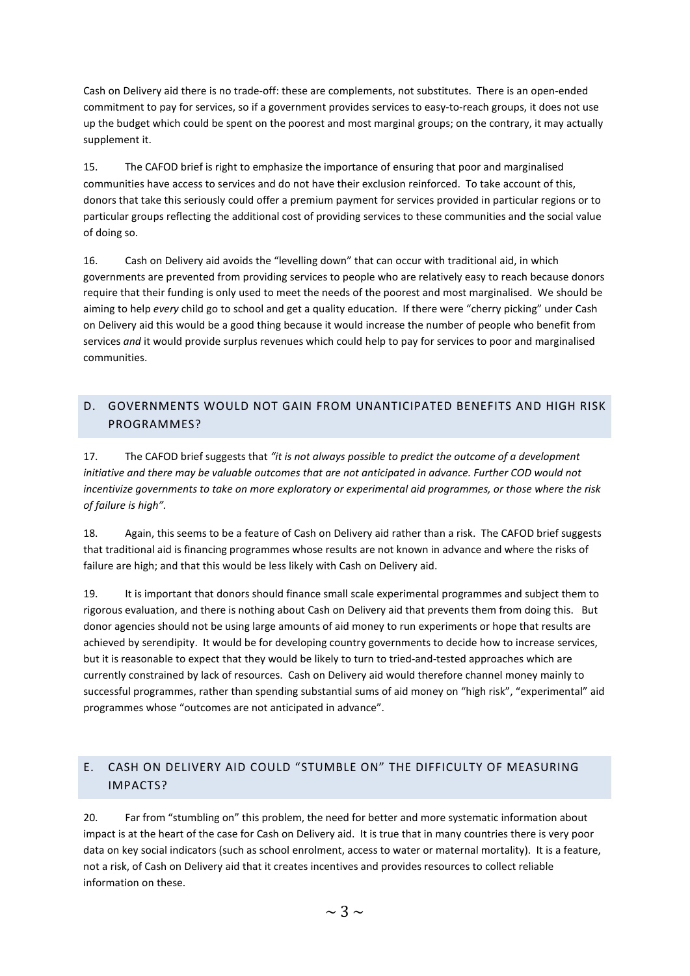Cash on Delivery aid there is no trade-off: these are complements, not substitutes. There is an open-ended commitment to pay for services, so if a government provides services to easy-to-reach groups, it does not use up the budget which could be spent on the poorest and most marginal groups; on the contrary, it may actually supplement it.

15. The CAFOD brief is right to emphasize the importance of ensuring that poor and marginalised communities have access to services and do not have their exclusion reinforced. To take account of this, donors that take this seriously could offer a premium payment for services provided in particular regions or to particular groups reflecting the additional cost of providing services to these communities and the social value of doing so.

16. Cash on Delivery aid avoids the "levelling down" that can occur with traditional aid, in which governments are prevented from providing services to people who are relatively easy to reach because donors require that their funding is only used to meet the needs of the poorest and most marginalised. We should be aiming to help *every* child go to school and get a quality education. If there were "cherry picking" under Cash on Delivery aid this would be a good thing because it would increase the number of people who benefit from services *and* it would provide surplus revenues which could help to pay for services to poor and marginalised communities.

# D. GOVERNMENTS WOULD NOT GAIN FROM UNANTICIPATED BENEFITS AND HIGH RISK PROGRAMMES?

17. The CAFOD brief suggests that *"it is not always possible to predict the outcome of a development initiative and there may be valuable outcomes that are not anticipated in advance. Further COD would not incentivize governments to take on more exploratory or experimental aid programmes, or those where the risk of failure is high".*

18. Again, this seems to be a feature of Cash on Delivery aid rather than a risk. The CAFOD brief suggests that traditional aid is financing programmes whose results are not known in advance and where the risks of failure are high; and that this would be less likely with Cash on Delivery aid.

19. It is important that donors should finance small scale experimental programmes and subject them to rigorous evaluation, and there is nothing about Cash on Delivery aid that prevents them from doing this. But donor agencies should not be using large amounts of aid money to run experiments or hope that results are achieved by serendipity. It would be for developing country governments to decide how to increase services, but it is reasonable to expect that they would be likely to turn to tried-and-tested approaches which are currently constrained by lack of resources. Cash on Delivery aid would therefore channel money mainly to successful programmes, rather than spending substantial sums of aid money on "high risk", "experimental" aid programmes whose "outcomes are not anticipated in advance".

# E. CASH ON DELIVERY AID COULD "STUMBLE ON" THE DIFFICULTY OF MEASURING IMPACTS?

20. Far from "stumbling on" this problem, the need for better and more systematic information about impact is at the heart of the case for Cash on Delivery aid. It is true that in many countries there is very poor data on key social indicators (such as school enrolment, access to water or maternal mortality). It is a feature, not a risk, of Cash on Delivery aid that it creates incentives and provides resources to collect reliable information on these.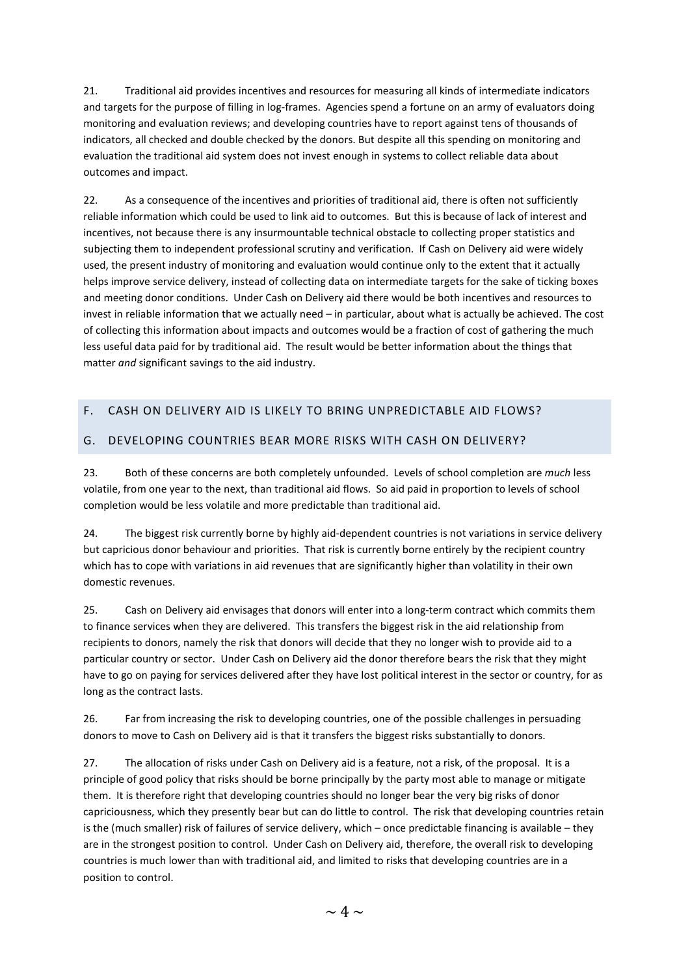21. Traditional aid provides incentives and resources for measuring all kinds of intermediate indicators and targets for the purpose of filling in log-frames. Agencies spend a fortune on an army of evaluators doing monitoring and evaluation reviews; and developing countries have to report against tens of thousands of indicators, all checked and double checked by the donors. But despite all this spending on monitoring and evaluation the traditional aid system does not invest enough in systems to collect reliable data about outcomes and impact.

22. As a consequence of the incentives and priorities of traditional aid, there is often not sufficiently reliable information which could be used to link aid to outcomes. But this is because of lack of interest and incentives, not because there is any insurmountable technical obstacle to collecting proper statistics and subjecting them to independent professional scrutiny and verification. If Cash on Delivery aid were widely used, the present industry of monitoring and evaluation would continue only to the extent that it actually helps improve service delivery, instead of collecting data on intermediate targets for the sake of ticking boxes and meeting donor conditions. Under Cash on Delivery aid there would be both incentives and resources to invest in reliable information that we actually need – in particular, about what is actually be achieved. The cost of collecting this information about impacts and outcomes would be a fraction of cost of gathering the much less useful data paid for by traditional aid. The result would be better information about the things that matter *and* significant savings to the aid industry.

# F. CASH ON DELIVERY AID IS LIKELY TO BRING UNPREDICTABLE AID FLOWS?

## G. DEVELOPING COUNTRIES BEAR MORE RISKS WITH CASH ON DELIVERY?

23. Both of these concerns are both completely unfounded. Levels of school completion are *much* less volatile, from one year to the next, than traditional aid flows. So aid paid in proportion to levels of school completion would be less volatile and more predictable than traditional aid.

24. The biggest risk currently borne by highly aid-dependent countries is not variations in service delivery but capricious donor behaviour and priorities. That risk is currently borne entirely by the recipient country which has to cope with variations in aid revenues that are significantly higher than volatility in their own domestic revenues.

25. Cash on Delivery aid envisages that donors will enter into a long-term contract which commits them to finance services when they are delivered. This transfers the biggest risk in the aid relationship from recipients to donors, namely the risk that donors will decide that they no longer wish to provide aid to a particular country or sector. Under Cash on Delivery aid the donor therefore bears the risk that they might have to go on paying for services delivered after they have lost political interest in the sector or country, for as long as the contract lasts.

26. Far from increasing the risk to developing countries, one of the possible challenges in persuading donors to move to Cash on Delivery aid is that it transfers the biggest risks substantially to donors.

27. The allocation of risks under Cash on Delivery aid is a feature, not a risk, of the proposal. It is a principle of good policy that risks should be borne principally by the party most able to manage or mitigate them. It is therefore right that developing countries should no longer bear the very big risks of donor capriciousness, which they presently bear but can do little to control. The risk that developing countries retain is the (much smaller) risk of failures of service delivery, which – once predictable financing is available – they are in the strongest position to control. Under Cash on Delivery aid, therefore, the overall risk to developing countries is much lower than with traditional aid, and limited to risks that developing countries are in a position to control.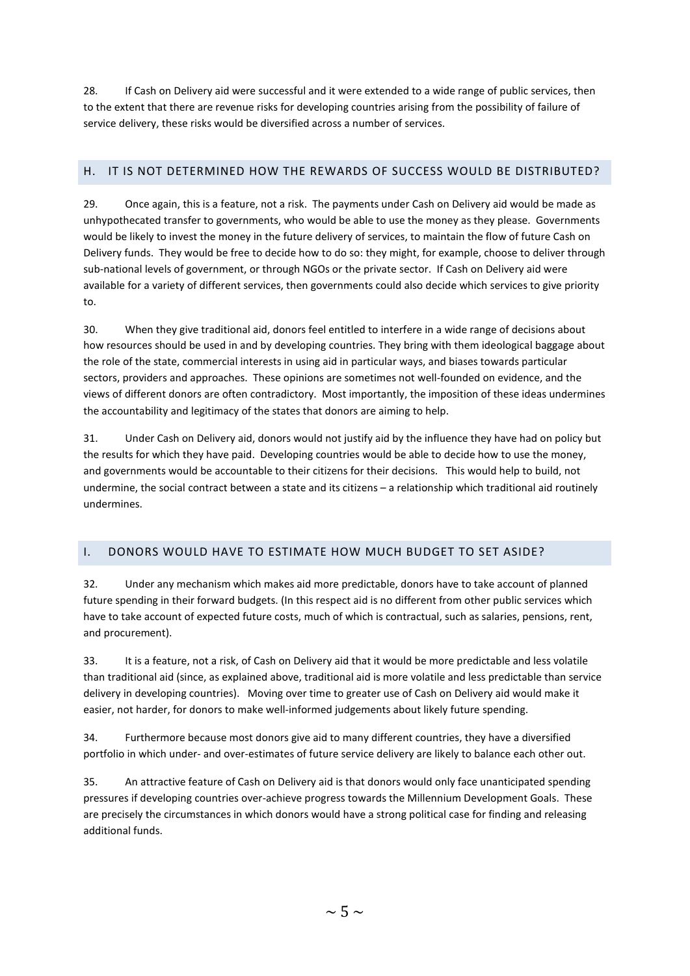28. If Cash on Delivery aid were successful and it were extended to a wide range of public services, then to the extent that there are revenue risks for developing countries arising from the possibility of failure of service delivery, these risks would be diversified across a number of services.

## H. IT IS NOT DETERMINED HOW THE REWARDS OF SUCCESS WOULD BE DISTRIBUTED?

29. Once again, this is a feature, not a risk. The payments under Cash on Delivery aid would be made as unhypothecated transfer to governments, who would be able to use the money as they please. Governments would be likely to invest the money in the future delivery of services, to maintain the flow of future Cash on Delivery funds. They would be free to decide how to do so: they might, for example, choose to deliver through sub-national levels of government, or through NGOs or the private sector. If Cash on Delivery aid were available for a variety of different services, then governments could also decide which services to give priority to.

30. When they give traditional aid, donors feel entitled to interfere in a wide range of decisions about how resources should be used in and by developing countries. They bring with them ideological baggage about the role of the state, commercial interests in using aid in particular ways, and biases towards particular sectors, providers and approaches. These opinions are sometimes not well-founded on evidence, and the views of different donors are often contradictory. Most importantly, the imposition of these ideas undermines the accountability and legitimacy of the states that donors are aiming to help.

31. Under Cash on Delivery aid, donors would not justify aid by the influence they have had on policy but the results for which they have paid. Developing countries would be able to decide how to use the money, and governments would be accountable to their citizens for their decisions. This would help to build, not undermine, the social contract between a state and its citizens – a relationship which traditional aid routinely undermines.

# I. DONORS WOULD HAVE TO ESTIMATE HOW MUCH BUDGET TO SET ASIDE?

32. Under any mechanism which makes aid more predictable, donors have to take account of planned future spending in their forward budgets. (In this respect aid is no different from other public services which have to take account of expected future costs, much of which is contractual, such as salaries, pensions, rent, and procurement).

33. It is a feature, not a risk, of Cash on Delivery aid that it would be more predictable and less volatile than traditional aid (since, as explained above, traditional aid is more volatile and less predictable than service delivery in developing countries). Moving over time to greater use of Cash on Delivery aid would make it easier, not harder, for donors to make well-informed judgements about likely future spending.

34. Furthermore because most donors give aid to many different countries, they have a diversified portfolio in which under- and over-estimates of future service delivery are likely to balance each other out.

35. An attractive feature of Cash on Delivery aid is that donors would only face unanticipated spending pressures if developing countries over-achieve progress towards the Millennium Development Goals. These are precisely the circumstances in which donors would have a strong political case for finding and releasing additional funds.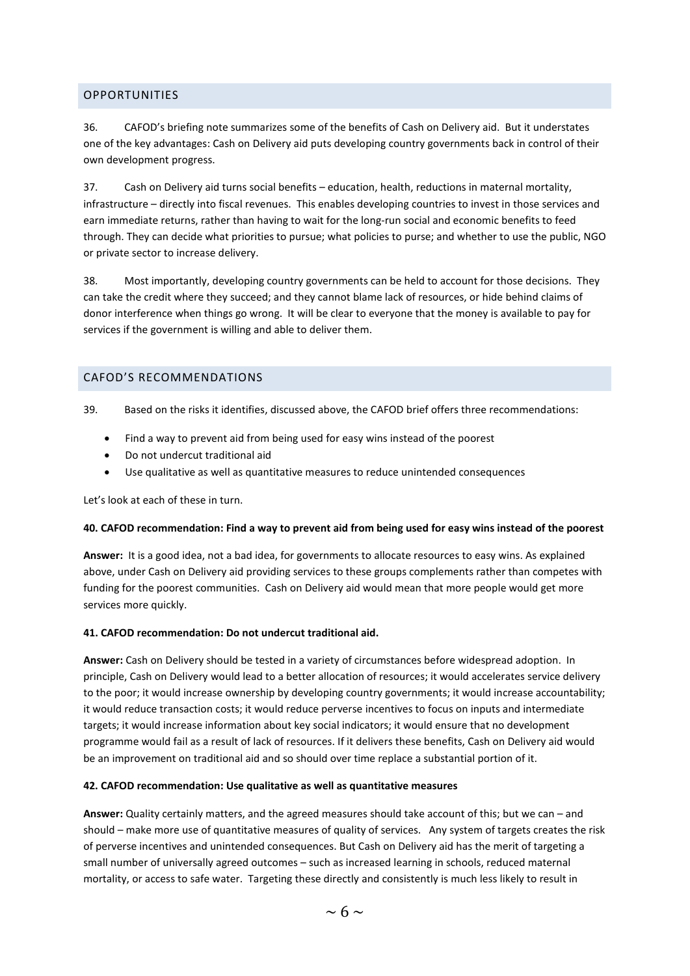### OPPORTUNITIES

36. CAFOD's briefing note summarizes some of the benefits of Cash on Delivery aid. But it understates one of the key advantages: Cash on Delivery aid puts developing country governments back in control of their own development progress.

37. Cash on Delivery aid turns social benefits – education, health, reductions in maternal mortality, infrastructure – directly into fiscal revenues. This enables developing countries to invest in those services and earn immediate returns, rather than having to wait for the long-run social and economic benefits to feed through. They can decide what priorities to pursue; what policies to purse; and whether to use the public, NGO or private sector to increase delivery.

38. Most importantly, developing country governments can be held to account for those decisions. They can take the credit where they succeed; and they cannot blame lack of resources, or hide behind claims of donor interference when things go wrong. It will be clear to everyone that the money is available to pay for services if the government is willing and able to deliver them.

## CAFOD'S RECOMMENDATIONS

39. Based on the risks it identifies, discussed above, the CAFOD brief offers three recommendations:

- Find a way to prevent aid from being used for easy wins instead of the poorest
- Do not undercut traditional aid
- Use qualitative as well as quantitative measures to reduce unintended consequences

Let's look at each of these in turn.

#### **40. CAFOD recommendation: Find a way to prevent aid from being used for easy wins instead of the poorest**

**Answer:** It is a good idea, not a bad idea, for governments to allocate resources to easy wins. As explained above, under Cash on Delivery aid providing services to these groups complements rather than competes with funding for the poorest communities. Cash on Delivery aid would mean that more people would get more services more quickly.

#### **41. CAFOD recommendation: Do not undercut traditional aid.**

**Answer:** Cash on Delivery should be tested in a variety of circumstances before widespread adoption. In principle, Cash on Delivery would lead to a better allocation of resources; it would accelerates service delivery to the poor; it would increase ownership by developing country governments; it would increase accountability; it would reduce transaction costs; it would reduce perverse incentives to focus on inputs and intermediate targets; it would increase information about key social indicators; it would ensure that no development programme would fail as a result of lack of resources. If it delivers these benefits, Cash on Delivery aid would be an improvement on traditional aid and so should over time replace a substantial portion of it.

#### **42. CAFOD recommendation: Use qualitative as well as quantitative measures**

**Answer:** Quality certainly matters, and the agreed measures should take account of this; but we can – and should – make more use of quantitative measures of quality of services. Any system of targets creates the risk of perverse incentives and unintended consequences. But Cash on Delivery aid has the merit of targeting a small number of universally agreed outcomes – such as increased learning in schools, reduced maternal mortality, or access to safe water. Targeting these directly and consistently is much less likely to result in

 $\sim$  6  $\sim$